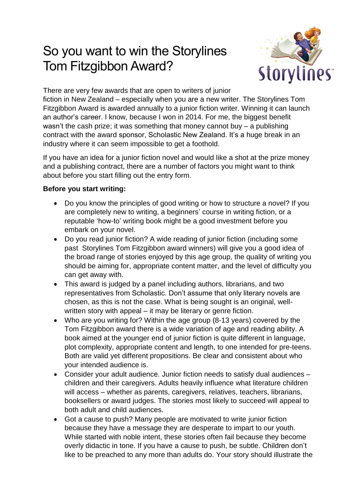# So you want to win the Storylines Tom Fitzgibbon Award?



There are very few awards that are open to writers of junior

fiction in New Zealand – especially when you are a new writer. The Storylines Tom Fitzgibbon Award is awarded annually to a junior fiction writer. Winning it can launch an author's career. I know, because I won in 2014. For me, the biggest benefit wasn't the cash prize; it was something that money cannot buy – a publishing contract with the award sponsor, Scholastic New Zealand. It's a huge break in an industry where it can seem impossible to get a foothold.

If you have an idea for a junior fiction novel and would like a shot at the prize money and a publishing contract, there are a number of factors you might want to think about before you start filling out the entry form.

#### **Before you start writing:**

- Do you know the principles of good writing or how to structure a novel? If you are completely new to writing, a beginners' course in writing fiction, or a reputable 'how-to' writing book might be a good investment before you embark on your novel.
- Do you read junior fiction? A wide reading of junior fiction (including some past Storylines Tom Fitzgibbon award winners) will give you a good idea of the broad range of stories enjoyed by this age group, the quality of writing you should be aiming for, appropriate content matter, and the level of difficulty you can get away with.
- This award is judged by a panel including authors, librarians, and two representatives from Scholastic. Don't assume that only literary novels are chosen, as this is not the case. What is being sought is an original, wellwritten story with appeal – it may be literary or genre fiction.
- Who are you writing for? Within the age group (8-13 years) covered by the Tom Fitzgibbon award there is a wide variation of age and reading ability. A book aimed at the younger end of junior fiction is quite different in language, plot complexity, appropriate content and length, to one intended for pre-teens. Both are valid yet different propositions. Be clear and consistent about who your intended audience is.
- Consider your adult audience. Junior fiction needs to satisfy dual audiences children and their caregivers. Adults heavily influence what literature children will access – whether as parents, caregivers, relatives, teachers, librarians, booksellers or award judges. The stories most likely to succeed will appeal to both adult and child audiences.
- Got a cause to push? Many people are motivated to write junior fiction because they have a message they are desperate to impart to our youth. While started with noble intent, these stories often fail because they become overly didactic in tone. If you have a cause to push, be subtle. Children don't like to be preached to any more than adults do. Your story should illustrate the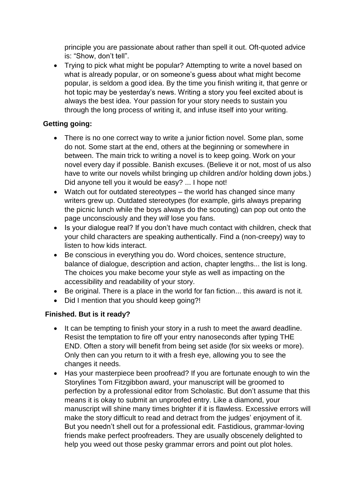principle you are passionate about rather than spell it out. Oft-quoted advice is: "Show, don't tell".

• Trying to pick what might be popular? Attempting to write a novel based on what is already popular, or on someone's guess about what might become popular, is seldom a good idea. By the time you finish writing it, that genre or hot topic may be yesterday's news. Writing a story you feel excited about is always the best idea. Your passion for your story needs to sustain you through the long process of writing it, and infuse itself into your writing.

#### **Getting going:**

- There is no one correct way to write a junior fiction novel. Some plan, some do not. Some start at the end, others at the beginning or somewhere in between. The main trick to writing a novel is to keep going. Work on your novel every day if possible. Banish excuses. (Believe it or not, most of us also have to write our novels whilst bringing up children and/or holding down jobs.) Did anyone tell you it would be easy? ... I hope not!
- Watch out for outdated stereotypes the world has changed since many writers grew up. Outdated stereotypes (for example, girls always preparing the picnic lunch while the boys always do the scouting) can pop out onto the page unconsciously and they *will* lose you fans.
- Is your dialogue real? If you don't have much contact with children, check that your child characters are speaking authentically. Find a (non-creepy) way to listen to how kids interact.
- Be conscious in everything you do. Word choices, sentence structure, balance of dialogue, description and action, chapter lengths... the list is long. The choices you make become your style as well as impacting on the accessibility and readability of your story.
- Be original. There is a place in the world for fan fiction... this award is not it.
- Did I mention that you should keep going?!

### **Finished. But is it ready?**

- It can be tempting to finish your story in a rush to meet the award deadline. Resist the temptation to fire off your entry nanoseconds after typing THE END. Often a story will benefit from being set aside (for six weeks or more). Only then can you return to it with a fresh eye, allowing you to see the changes it needs.
- Has your masterpiece been proofread? If you are fortunate enough to win the Storylines Tom Fitzgibbon award, your manuscript will be groomed to perfection by a professional editor from Scholastic. But don't assume that this means it is okay to submit an unproofed entry. Like a diamond, your manuscript will shine many times brighter if it is flawless. Excessive errors will make the story difficult to read and detract from the judges' enjoyment of it. But you needn't shell out for a professional edit. Fastidious, grammar-loving friends make perfect proofreaders. They are usually obscenely delighted to help you weed out those pesky grammar errors and point out plot holes.